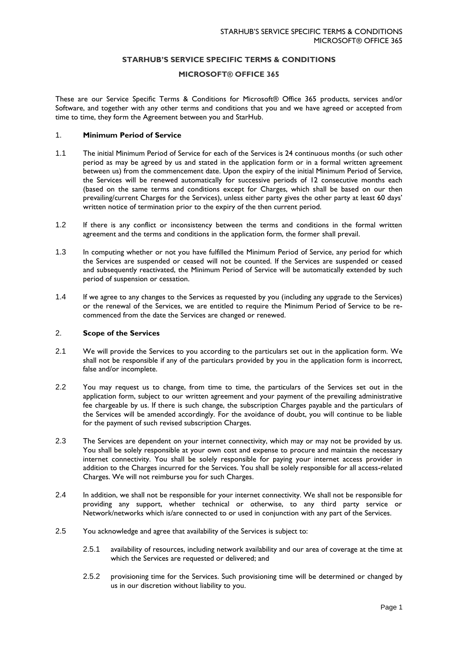# **STARHUB'S SERVICE SPECIFIC TERMS & CONDITIONS**

## **MICROSOFT® OFFICE 365**

These are our Service Specific Terms & Conditions for Microsoft® Office 365 products, services and/or Software, and together with any other terms and conditions that you and we have agreed or accepted from time to time, they form the Agreement between you and StarHub.

#### 1. **Minimum Period of Service**

- 1.1 The initial Minimum Period of Service for each of the Services is 24 continuous months (or such other period as may be agreed by us and stated in the application form or in a formal written agreement between us) from the commencement date. Upon the expiry of the initial Minimum Period of Service, the Services will be renewed automatically for successive periods of 12 consecutive months each (based on the same terms and conditions except for Charges, which shall be based on our then prevailing/current Charges for the Services), unless either party gives the other party at least 60 days' written notice of termination prior to the expiry of the then current period.
- 1.2 If there is any conflict or inconsistency between the terms and conditions in the formal written agreement and the terms and conditions in the application form, the former shall prevail.
- 1.3 In computing whether or not you have fulfilled the Minimum Period of Service, any period for which the Services are suspended or ceased will not be counted. If the Services are suspended or ceased and subsequently reactivated, the Minimum Period of Service will be automatically extended by such period of suspension or cessation.
- 1.4 If we agree to any changes to the Services as requested by you (including any upgrade to the Services) or the renewal of the Services, we are entitled to require the Minimum Period of Service to be recommenced from the date the Services are changed or renewed.

# 2. **Scope of the Services**

- 2.1 We will provide the Services to you according to the particulars set out in the application form. We shall not be responsible if any of the particulars provided by you in the application form is incorrect, false and/or incomplete.
- 2.2 You may request us to change, from time to time, the particulars of the Services set out in the application form, subject to our written agreement and your payment of the prevailing administrative fee chargeable by us. If there is such change, the subscription Charges payable and the particulars of the Services will be amended accordingly. For the avoidance of doubt, you will continue to be liable for the payment of such revised subscription Charges.
- 2.3 The Services are dependent on your internet connectivity, which may or may not be provided by us. You shall be solely responsible at your own cost and expense to procure and maintain the necessary internet connectivity. You shall be solely responsible for paying your internet access provider in addition to the Charges incurred for the Services. You shall be solely responsible for all access-related Charges. We will not reimburse you for such Charges.
- 2.4 In addition, we shall not be responsible for your internet connectivity. We shall not be responsible for providing any support, whether technical or otherwise, to any third party service or Network/networks which is/are connected to or used in conjunction with any part of the Services.
- 2.5 You acknowledge and agree that availability of the Services is subject to:
	- 2.5.1 availability of resources, including network availability and our area of coverage at the time at which the Services are requested or delivered; and
	- 2.5.2 provisioning time for the Services. Such provisioning time will be determined or changed by us in our discretion without liability to you.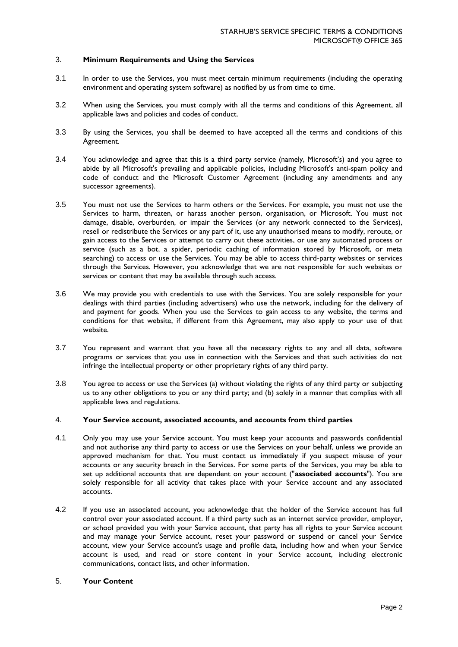# 3. **Minimum Requirements and Using the Services**

- 3.1 In order to use the Services, you must meet certain minimum requirements (including the operating environment and operating system software) as notified by us from time to time.
- 3.2 When using the Services, you must comply with all the terms and conditions of this Agreement, all applicable laws and policies and codes of conduct.
- 3.3 By using the Services, you shall be deemed to have accepted all the terms and conditions of this Agreement.
- 3.4 You acknowledge and agree that this is a third party service (namely, Microsoft's) and you agree to abide by all Microsoft's prevailing and applicable policies, including Microsoft's anti-spam policy and code of conduct and the Microsoft Customer Agreement (including any amendments and any successor agreements).
- 3.5 You must not use the Services to harm others or the Services. For example, you must not use the Services to harm, threaten, or harass another person, organisation, or Microsoft. You must not damage, disable, overburden, or impair the Services (or any network connected to the Services), resell or redistribute the Services or any part of it, use any unauthorised means to modify, reroute, or gain access to the Services or attempt to carry out these activities, or use any automated process or service (such as a bot, a spider, periodic caching of information stored by Microsoft, or meta searching) to access or use the Services. You may be able to access third-party websites or services through the Services. However, you acknowledge that we are not responsible for such websites or services or content that may be available through such access.
- 3.6 We may provide you with credentials to use with the Services. You are solely responsible for your dealings with third parties (including advertisers) who use the network, including for the delivery of and payment for goods. When you use the Services to gain access to any website, the terms and conditions for that website, if different from this Agreement, may also apply to your use of that website.
- 3.7 You represent and warrant that you have all the necessary rights to any and all data, software programs or services that you use in connection with the Services and that such activities do not infringe the intellectual property or other proprietary rights of any third party.
- 3.8 You agree to access or use the Services (a) without violating the rights of any third party or subjecting us to any other obligations to you or any third party; and (b) solely in a manner that complies with all applicable laws and regulations.

#### 4. **Your Service account, associated accounts, and accounts from third parties**

- 4.1 Only you may use your Service account. You must keep your accounts and passwords confidential and not authorise any third party to access or use the Services on your behalf, unless we provide an approved mechanism for that. You must contact us immediately if you suspect misuse of your accounts or any security breach in the Services. For some parts of the Services, you may be able to set up additional accounts that are dependent on your account ("**associated accounts**"). You are solely responsible for all activity that takes place with your Service account and any associated accounts.
- 4.2 If you use an associated account, you acknowledge that the holder of the Service account has full control over your associated account. If a third party such as an internet service provider, employer, or school provided you with your Service account, that party has all rights to your Service account and may manage your Service account, reset your password or suspend or cancel your Service account, view your Service account's usage and profile data, including how and when your Service account is used, and read or store content in your Service account, including electronic communications, contact lists, and other information.

## 5. **Your Content**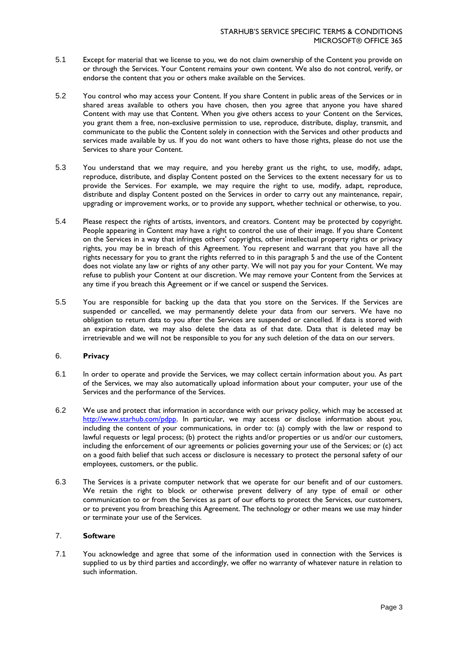- 5.1 Except for material that we license to you, we do not claim ownership of the Content you provide on or through the Services. Your Content remains your own content. We also do not control, verify, or endorse the content that you or others make available on the Services.
- 5.2 You control who may access your Content. If you share Content in public areas of the Services or in shared areas available to others you have chosen, then you agree that anyone you have shared Content with may use that Content. When you give others access to your Content on the Services, you grant them a free, non-exclusive permission to use, reproduce, distribute, display, transmit, and communicate to the public the Content solely in connection with the Services and other products and services made available by us. If you do not want others to have those rights, please do not use the Services to share your Content.
- 5.3 You understand that we may require, and you hereby grant us the right, to use, modify, adapt, reproduce, distribute, and display Content posted on the Services to the extent necessary for us to provide the Services. For example, we may require the right to use, modify, adapt, reproduce, distribute and display Content posted on the Services in order to carry out any maintenance, repair, upgrading or improvement works, or to provide any support, whether technical or otherwise, to you.
- 5.4 Please respect the rights of artists, inventors, and creators. Content may be protected by copyright. People appearing in Content may have a right to control the use of their image. If you share Content on the Services in a way that infringes others' copyrights, other intellectual property rights or privacy rights, you may be in breach of this Agreement. You represent and warrant that you have all the rights necessary for you to grant the rights referred to in this paragraph 5 and the use of the Content does not violate any law or rights of any other party. We will not pay you for your Content. We may refuse to publish your Content at our discretion. We may remove your Content from the Services at any time if you breach this Agreement or if we cancel or suspend the Services.
- 5.5 You are responsible for backing up the data that you store on the Services. If the Services are suspended or cancelled, we may permanently delete your data from our servers. We have no obligation to return data to you after the Services are suspended or cancelled. If data is stored with an expiration date, we may also delete the data as of that date. Data that is deleted may be irretrievable and we will not be responsible to you for any such deletion of the data on our servers.

# 6. **Privacy**

- 6.1 In order to operate and provide the Services, we may collect certain information about you. As part of the Services, we may also automatically upload information about your computer, your use of the Services and the performance of the Services.
- 6.2 We use and protect that information in accordance with our privacy policy, which may be accessed at [http://www.starhub.com/pdpp.](http://www.starhub.com/pdpp) In particular, we may access or disclose information about you, including the content of your communications, in order to: (a) comply with the law or respond to lawful requests or legal process; (b) protect the rights and/or properties or us and/or our customers, including the enforcement of our agreements or policies governing your use of the Services; or (c) act on a good faith belief that such access or disclosure is necessary to protect the personal safety of our employees, customers, or the public.
- 6.3 The Services is a private computer network that we operate for our benefit and of our customers. We retain the right to block or otherwise prevent delivery of any type of email or other communication to or from the Services as part of our efforts to protect the Services, our customers, or to prevent you from breaching this Agreement. The technology or other means we use may hinder or terminate your use of the Services.

# 7. **Software**

7.1 You acknowledge and agree that some of the information used in connection with the Services is supplied to us by third parties and accordingly, we offer no warranty of whatever nature in relation to such information.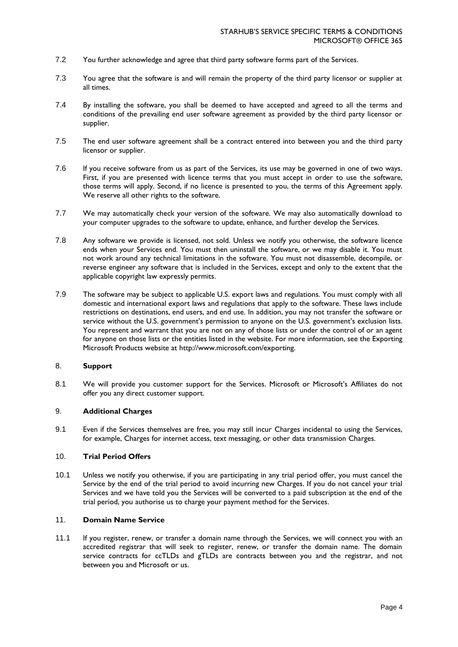- 7.2 You further acknowledge and agree that third party software forms part of the Services.
- 7.3 You agree that the software is and will remain the property of the third party licensor or supplier at all times.
- 7.4 By installing the software, you shall be deemed to have accepted and agreed to all the terms and conditions of the prevailing end user software agreement as provided by the third party licensor or supplier.
- 7.5 The end user software agreement shall be a contract entered into between you and the third party licensor or supplier.
- 7.6 If you receive software from us as part of the Services, its use may be governed in one of two ways. First, if you are presented with licence terms that you must accept in order to use the software, those terms will apply. Second, if no licence is presented to you, the terms of this Agreement apply. We reserve all other rights to the software.
- 7.7 We may automatically check your version of the software. We may also automatically download to your computer upgrades to the software to update, enhance, and further develop the Services.
- 7.8 Any software we provide is licensed, not sold. Unless we notify you otherwise, the software licence ends when your Services end. You must then uninstall the software, or we may disable it. You must not work around any technical limitations in the software. You must not disassemble, decompile, or reverse engineer any software that is included in the Services, except and only to the extent that the applicable copyright law expressly permits.
- 7.9 The software may be subject to applicable U.S. export laws and regulations. You must comply with all domestic and international export laws and regulations that apply to the software. These laws include restrictions on destinations, end users, and end use. In addition, you may not transfer the software or service without the U.S. government's permission to anyone on the U.S. government's exclusion lists. You represent and warrant that you are not on any of those lists or under the control of or an agent for anyone on those lists or the entities listed in the website. For more information, see the Exporting Microsoft Products website at [http://www.microsoft.com/exporting.](http://www.microsoft.com/exporting)

# 8. **Support**

8.1 We will provide you customer support for the Services. Microsoft or Microsoft's Affiliates do not offer you any direct customer support.

#### 9. **Additional Charges**

9.1 Even if the Services themselves are free, you may still incur Charges incidental to using the Services, for example, Charges for internet access, text messaging, or other data transmission Charges.

#### 10. **Trial Period Offers**

10.1 Unless we notify you otherwise, if you are participating in any trial period offer, you must cancel the Service by the end of the trial period to avoid incurring new Charges. If you do not cancel your trial Services and we have told you the Services will be converted to a paid subscription at the end of the trial period, you authorise us to charge your payment method for the Services.

## 11. **Domain Name Service**

11.1 If you register, renew, or transfer a domain name through the Services, we will connect you with an accredited registrar that will seek to register, renew, or transfer the domain name. The domain service contracts for ccTLDs and gTLDs are contracts between you and the registrar, and not between you and Microsoft or us.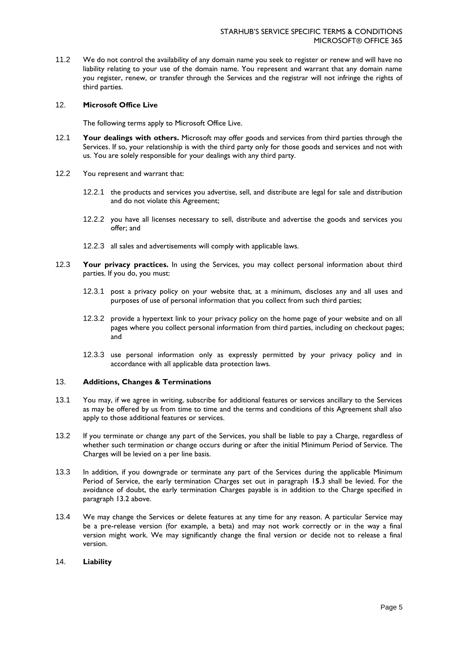11.2 We do not control the availability of any domain name you seek to register or renew and will have no liability relating to your use of the domain name. You represent and warrant that any domain name you register, renew, or transfer through the Services and the registrar will not infringe the rights of third parties.

#### 12. **Microsoft Office Live**

The following terms apply to Microsoft Office Live.

- 12.1 **Your dealings with others.** Microsoft may offer goods and services from third parties through the Services. If so, your relationship is with the third party only for those goods and services and not with us. You are solely responsible for your dealings with any third party.
- 12.2 You represent and warrant that:
	- 12.2.1 the products and services you advertise, sell, and distribute are legal for sale and distribution and do not violate this Agreement;
	- 12.2.2 you have all licenses necessary to sell, distribute and advertise the goods and services you offer; and
	- 12.2.3 all sales and advertisements will comply with applicable laws.
- 12.3 **Your privacy practices.** In using the Services, you may collect personal information about third parties. If you do, you must:
	- 12.3.1 post a privacy policy on your website that, at a minimum, discloses any and all uses and purposes of use of personal information that you collect from such third parties;
	- 12.3.2 provide a hypertext link to your privacy policy on the home page of your website and on all pages where you collect personal information from third parties, including on checkout pages; and
	- 12.3.3 use personal information only as expressly permitted by your privacy policy and in accordance with all applicable data protection laws.

# 13. **Additions, Changes & Terminations**

- 13.1 You may, if we agree in writing, subscribe for additional features or services ancillary to the Services as may be offered by us from time to time and the terms and conditions of this Agreement shall also apply to those additional features or services.
- 13.2 If you terminate or change any part of the Services, you shall be liable to pay a Charge, regardless of whether such termination or change occurs during or after the initial Minimum Period of Service. The Charges will be levied on a per line basis.
- 13.3 In addition, if you downgrade or terminate any part of the Services during the applicable Minimum Period of Service, the early termination Charges set out in paragraph 1**5**.3 shall be levied. For the avoidance of doubt, the early termination Charges payable is in addition to the Charge specified in paragraph 13.2 above.
- 13.4 We may change the Services or delete features at any time for any reason. A particular Service may be a pre-release version (for example, a beta) and may not work correctly or in the way a final version might work. We may significantly change the final version or decide not to release a final version.

#### 14. **Liability**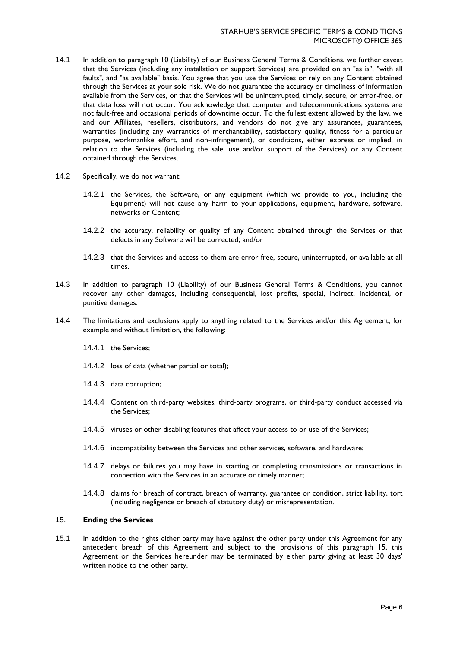- 14.1 In addition to paragraph 10 (Liability) of our Business General Terms & Conditions, we further caveat that the Services (including any installation or support Services) are provided on an "as is", "with all faults", and "as available" basis. You agree that you use the Services or rely on any Content obtained through the Services at your sole risk. We do not guarantee the accuracy or timeliness of information available from the Services, or that the Services will be uninterrupted, timely, secure, or error-free, or that data loss will not occur. You acknowledge that computer and telecommunications systems are not fault-free and occasional periods of downtime occur. To the fullest extent allowed by the law, we and our Affiliates, resellers, distributors, and vendors do not give any assurances, guarantees, warranties (including any warranties of merchantability, satisfactory quality, fitness for a particular purpose, workmanlike effort, and non-infringement), or conditions, either express or implied, in relation to the Services (including the sale, use and/or support of the Services) or any Content obtained through the Services.
- 14.2 Specifically, we do not warrant:
	- 14.2.1 the Services, the Software, or any equipment (which we provide to you, including the Equipment) will not cause any harm to your applications, equipment, hardware, software, networks or Content;
	- 14.2.2 the accuracy, reliability or quality of any Content obtained through the Services or that defects in any Software will be corrected; and/or
	- 14.2.3 that the Services and access to them are error-free, secure, uninterrupted, or available at all times.
- 14.3 In addition to paragraph 10 (Liability) of our Business General Terms & Conditions, you cannot recover any other damages, including consequential, lost profits, special, indirect, incidental, or punitive damages.
- 14.4 The limitations and exclusions apply to anything related to the Services and/or this Agreement, for example and without limitation, the following:
	- 14.4.1 the Services;
	- 14.4.2 loss of data (whether partial or total);
	- 14.4.3 data corruption;
	- 14.4.4 Content on third-party websites, third-party programs, or third-party conduct accessed via the Services;
	- 14.4.5 viruses or other disabling features that affect your access to or use of the Services;
	- 14.4.6 incompatibility between the Services and other services, software, and hardware;
	- 14.4.7 delays or failures you may have in starting or completing transmissions or transactions in connection with the Services in an accurate or timely manner;
	- 14.4.8 claims for breach of contract, breach of warranty, guarantee or condition, strict liability, tort (including negligence or breach of statutory duty) or misrepresentation.

## 15. **Ending the Services**

15.1 In addition to the rights either party may have against the other party under this Agreement for any antecedent breach of this Agreement and subject to the provisions of this paragraph 15, this Agreement or the Services hereunder may be terminated by either party giving at least 30 days' written notice to the other party.